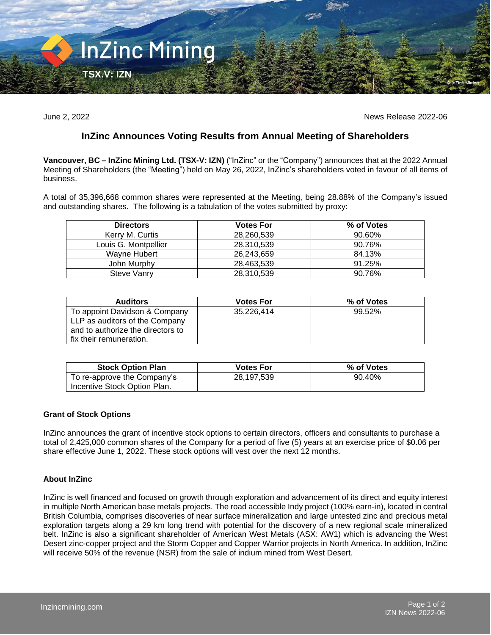

June 2, 2022 News Release 2022-06

# **InZinc Announces Voting Results from Annual Meeting of Shareholders**

**Vancouver, BC – InZinc Mining Ltd. (TSX-V: IZN)** ("InZinc" or the "Company") announces that at the 2022 Annual Meeting of Shareholders (the "Meeting") held on May 26, 2022, InZinc's shareholders voted in favour of all items of business.

A total of 35,396,668 common shares were represented at the Meeting, being 28.88% of the Company's issued and outstanding shares. The following is a tabulation of the votes submitted by proxy:

| <b>Directors</b>     | <b>Votes For</b> | % of Votes |
|----------------------|------------------|------------|
| Kerry M. Curtis      | 28,260,539       | 90.60%     |
| Louis G. Montpellier | 28,310,539       | 90.76%     |
| Wayne Hubert         | 26,243,659       | 84.13%     |
| John Murphy          | 28,463,539       | 91.25%     |
| Steve Vanry          | 28,310,539       | 90.76%     |

| <b>Auditors</b>                                                 | <b>Votes For</b> | % of Votes |
|-----------------------------------------------------------------|------------------|------------|
| To appoint Davidson & Company<br>LLP as auditors of the Company | 35,226,414       | 99.52%     |
| and to authorize the directors to<br>fix their remuneration.    |                  |            |

| <b>Stock Option Plan</b>     | Votes For  | % of Votes |
|------------------------------|------------|------------|
| To re-approve the Company's  | 28.197.539 | 90.40%     |
| Incentive Stock Option Plan. |            |            |

### **Grant of Stock Options**

InZinc announces the grant of incentive stock options to certain directors, officers and consultants to purchase a total of 2,425,000 common shares of the Company for a period of five (5) years at an exercise price of \$0.06 per share effective June 1, 2022. These stock options will vest over the next 12 months.

## **About InZinc**

InZinc is well financed and focused on growth through exploration and advancement of its direct and equity interest in multiple North American base metals projects. The road accessible Indy project (100% earn-in), located in central British Columbia, comprises discoveries of near surface mineralization and large untested zinc and precious metal exploration targets along a 29 km long trend with potential for the discovery of a new regional scale mineralized belt. InZinc is also a significant shareholder of American West Metals (ASX: AW1) which is advancing the West Desert zinc-copper project and the Storm Copper and Copper Warrior projects in North America. In addition, InZinc will receive 50% of the revenue (NSR) from the sale of indium mined from West Desert.